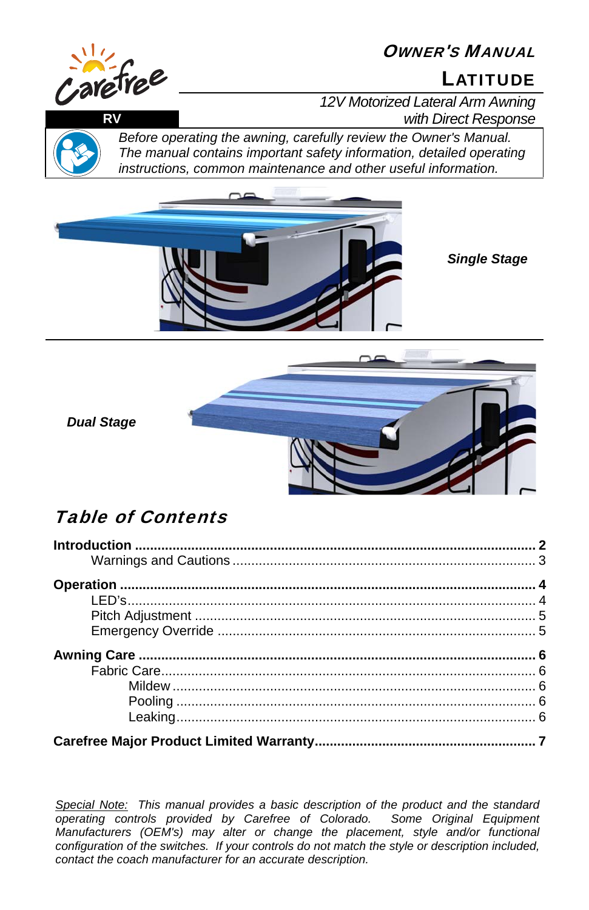# OWNER'S MANUAL



# arefree

*12V Motorized Lateral Arm Awning*  **RV** *with Direct Response*



*Before operating the awning, carefully review the Owner's Manual. The manual contains important safety information, detailed operating instructions, common maintenance and other useful information.*



*Single Stage*



*Dual Stage*

# Table of Contents

*Special Note: This manual provides a basic description of the product and the standard operating controls provided by Carefree of Colorado. Some Original Equipment Manufacturers (OEM's) may alter or change the placement, style and/or functional configuration of the switches. If your controls do not match the style or description included, contact the coach manufacturer for an accurate description.*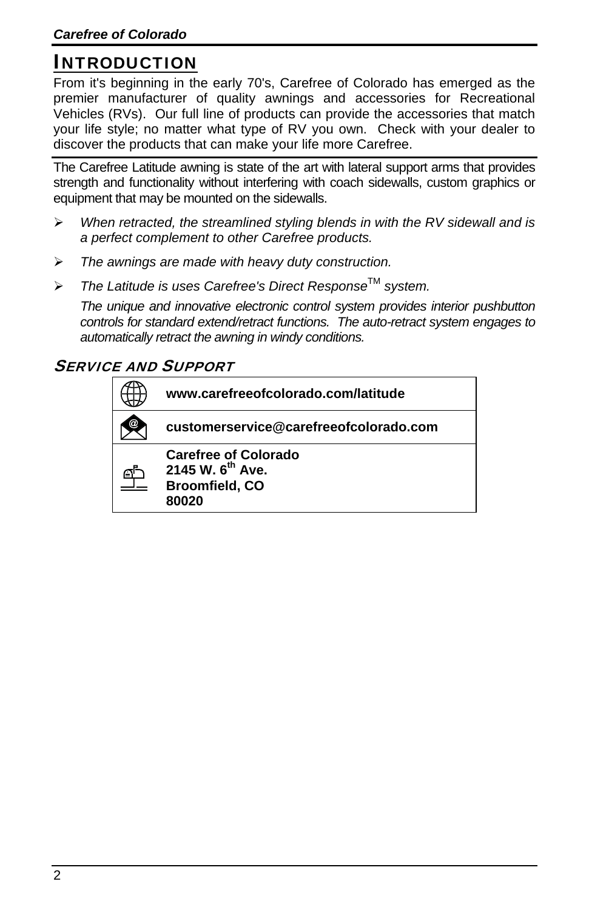# INTRODUCTION

From it's beginning in the early 70's, Carefree of Colorado has emerged as the premier manufacturer of quality awnings and accessories for Recreational Vehicles (RVs). Our full line of products can provide the accessories that match your life style; no matter what type of RV you own. Check with your dealer to discover the products that can make your life more Carefree.

The Carefree Latitude awning is state of the art with lateral support arms that provides strength and functionality without interfering with coach sidewalls, custom graphics or equipment that may be mounted on the sidewalls.

- *When retracted, the streamlined styling blends in with the RV sidewall and is a perfect complement to other Carefree products.*
- *The awnings are made with heavy duty construction.*
- *The Latitude is uses Carefree's Direct Response*TM *system.*

*The unique and innovative electronic control system provides interior pushbutton controls for standard extend/retract functions. The auto-retract system engages to automatically retract the awning in windy conditions.* 

#### SERVICE AND SUPPORT

| www.carefreeofcolorado.com/latitude                                                           |
|-----------------------------------------------------------------------------------------------|
| customerservice@carefreeofcolorado.com                                                        |
| <b>Carefree of Colorado</b><br>2145 W. 6 <sup>th</sup> Ave.<br><b>Broomfield, CO</b><br>80020 |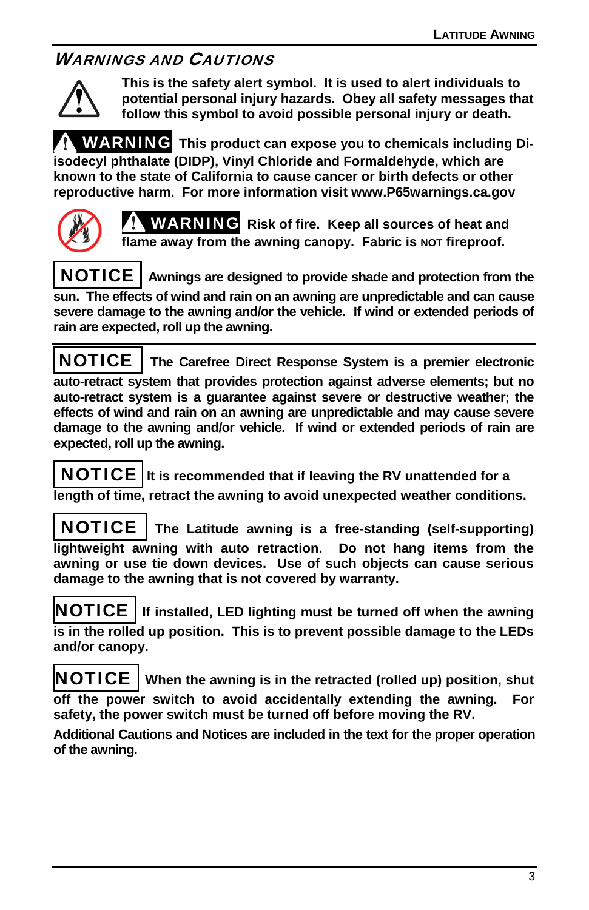## WARNINGS AND CAUTIONS



**This is the safety alert symbol. It is used to alert individuals to potential personal injury hazards. Obey all safety messages that follow this symbol to avoid possible personal injury or death.** 

WARNING **This product can expose you to chemicals including Diisodecyl phthalate (DIDP), Vinyl Chloride and Formaldehyde, which are known to the state of California to cause cancer or birth defects or other reproductive harm. For more information visit www.P65warnings.ca.gov** 



WARNING **Risk of fire. Keep all sources of heat and**  flame away from the awning canopy. Fabric is NOT fireproof.

 NOTICE **Awnings are designed to provide shade and protection from the sun. The effects of wind and rain on an awning are unpredictable and can cause severe damage to the awning and/or the vehicle. If wind or extended periods of rain are expected, roll up the awning.**

NOTICE **The Carefree Direct Response System is a premier electronic auto-retract system that provides protection against adverse elements; but no auto-retract system is a guarantee against severe or destructive weather; the effects of wind and rain on an awning are unpredictable and may cause severe damage to the awning and/or vehicle. If wind or extended periods of rain are expected, roll up the awning.** 

 NOTICE **It is recommended that if leaving the RV unattended for a length of time, retract the awning to avoid unexpected weather conditions.** 

 NOTICE **The Latitude awning is a free-standing (self-supporting) lightweight awning with auto retraction. Do not hang items from the awning or use tie down devices. Use of such objects can cause serious damage to the awning that is not covered by warranty.** 

NOTICE **If installed, LED lighting must be turned off when the awning is in the rolled up position. This is to prevent possible damage to the LEDs and/or canopy.** 

NOTICE **When the awning is in the retracted (rolled up) position, shut off the power switch to avoid accidentally extending the awning. For safety, the power switch must be turned off before moving the RV.** 

**Additional Cautions and Notices are included in the text for the proper operation of the awning.**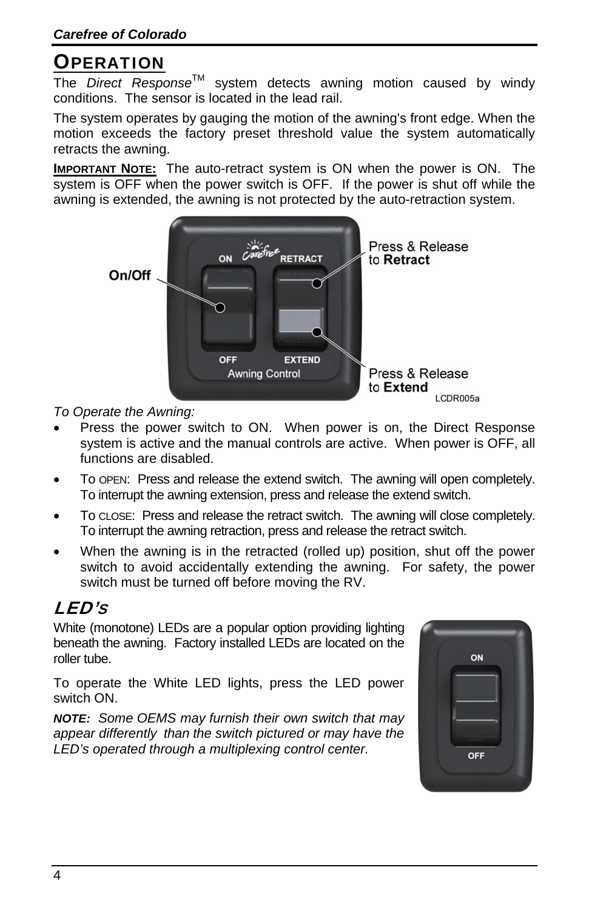# **OPERATION**

The *Direct Response*TM system detects awning motion caused by windy conditions. The sensor is located in the lead rail.

The system operates by gauging the motion of the awning's front edge. When the motion exceeds the factory preset threshold value the system automatically retracts the awning.

**IMPORTANT NOTE:** The auto-retract system is ON when the power is ON. The system is OFF when the power switch is OFF. If the power is shut off while the awning is extended, the awning is not protected by the auto-retraction system.



*To Operate the Awning:* 

- Press the power switch to ON. When power is on, the Direct Response system is active and the manual controls are active. When power is OFF, all functions are disabled.
- To OPEN: Press and release the extend switch. The awning will open completely. To interrupt the awning extension, press and release the extend switch.
- To CLOSE: Press and release the retract switch. The awning will close completely. To interrupt the awning retraction, press and release the retract switch.
- When the awning is in the retracted (rolled up) position, shut off the power switch to avoid accidentally extending the awning. For safety, the power switch must be turned off before moving the RV.

# LED'S

White (monotone) LEDs are a popular option providing lighting beneath the awning. Factory installed LEDs are located on the roller tube.

To operate the White LED lights, press the LED power switch ON.

*NOTE: Some OEMS may furnish their own switch that may appear differently than the switch pictured or may have the LED's operated through a multiplexing control center.*

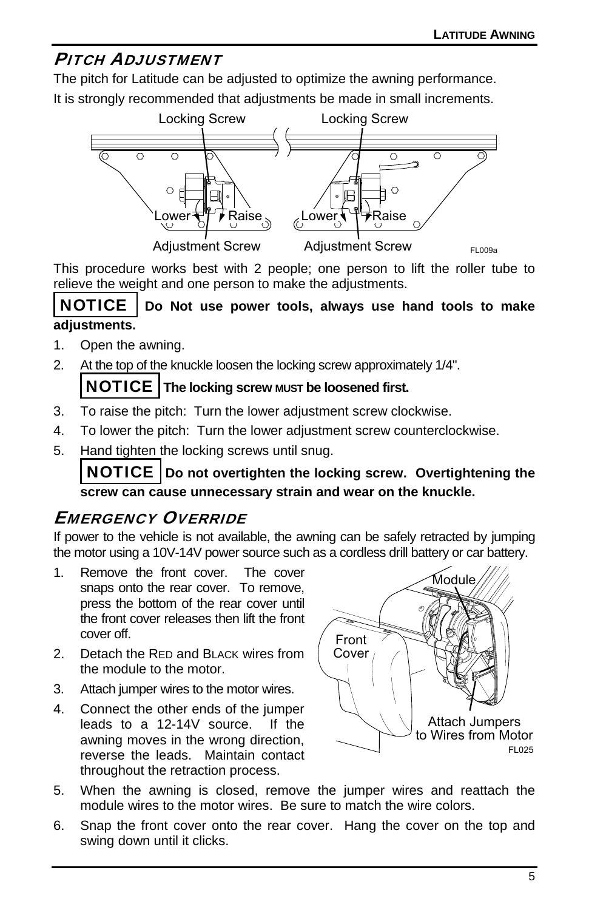### PITCH ADJUSTMENT

The pitch for Latitude can be adjusted to optimize the awning performance.

It is strongly recommended that adjustments be made in small increments.



This procedure works best with 2 people; one person to lift the roller tube to relieve the weight and one person to make the adjustments.

#### NOTICE **Do Not use power tools, always use hand tools to make adjustments.**

- 1. Open the awning.
- 2. At the top of the knuckle loosen the locking screw approximately 1/4".

#### NOTICE **The locking screw MUST be loosened first.**

- 3. To raise the pitch: Turn the lower adjustment screw clockwise.
- 4. To lower the pitch: Turn the lower adjustment screw counterclockwise.
- 5. Hand tighten the locking screws until snug.

 NOTICE **Do not overtighten the locking screw. Overtightening the screw can cause unnecessary strain and wear on the knuckle.** 

# EMERGENCY OVERRIDE

If power to the vehicle is not available, the awning can be safely retracted by jumping the motor using a 10V-14V power source such as a cordless drill battery or car battery.

- 1. Remove the front cover. The cover snaps onto the rear cover. To remove, press the bottom of the rear cover until the front cover releases then lift the front cover off.
- 2. Detach the RED and BLACK wires from the module to the motor.
- 3. Attach jumper wires to the motor wires.
- 4. Connect the other ends of the jumper leads to a 12-14V source. If the awning moves in the wrong direction, reverse the leads. Maintain contact throughout the retraction process.



- 5. When the awning is closed, remove the jumper wires and reattach the module wires to the motor wires. Be sure to match the wire colors.
- 6. Snap the front cover onto the rear cover. Hang the cover on the top and swing down until it clicks.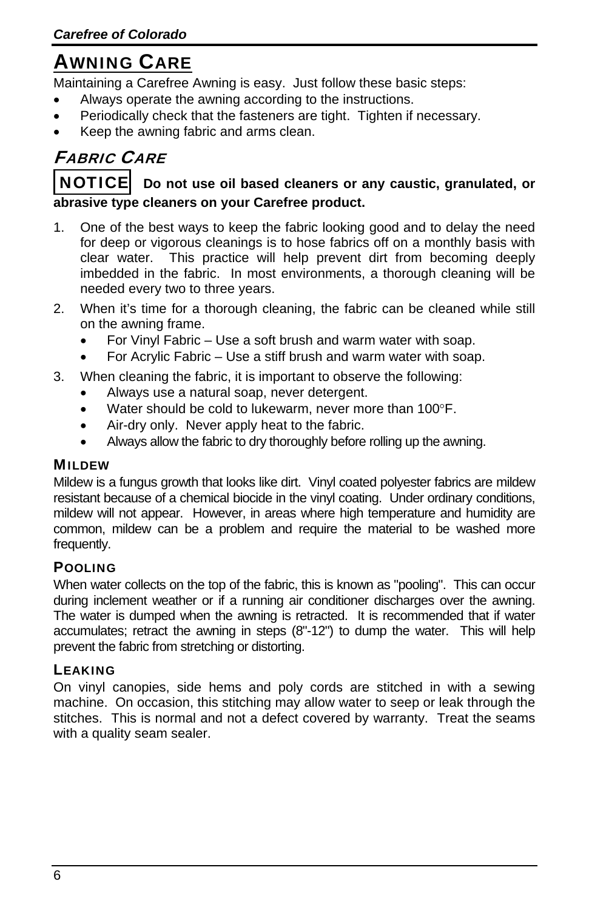# AWNING CARE

Maintaining a Carefree Awning is easy. Just follow these basic steps:

- Always operate the awning according to the instructions.
- Periodically check that the fasteners are tight. Tighten if necessary.
- Keep the awning fabric and arms clean.

# FABRIC CARE

#### **NOTICE** Do not use oil based cleaners or any caustic, granulated, or **abrasive type cleaners on your Carefree product.**

- 1. One of the best ways to keep the fabric looking good and to delay the need for deep or vigorous cleanings is to hose fabrics off on a monthly basis with clear water. This practice will help prevent dirt from becoming deeply imbedded in the fabric. In most environments, a thorough cleaning will be needed every two to three years.
- 2. When it's time for a thorough cleaning, the fabric can be cleaned while still on the awning frame.
	- For Vinyl Fabric Use a soft brush and warm water with soap.
	- For Acrylic Fabric Use a stiff brush and warm water with soap.

#### 3. When cleaning the fabric, it is important to observe the following:

- Always use a natural soap, never detergent.
- Water should be cold to lukewarm, never more than 100°F.
- Air-dry only. Never apply heat to the fabric.
- Always allow the fabric to dry thoroughly before rolling up the awning.

#### MILDEW

Mildew is a fungus growth that looks like dirt. Vinyl coated polyester fabrics are mildew resistant because of a chemical biocide in the vinyl coating. Under ordinary conditions, mildew will not appear. However, in areas where high temperature and humidity are common, mildew can be a problem and require the material to be washed more frequently.

#### POOLING

When water collects on the top of the fabric, this is known as "pooling". This can occur during inclement weather or if a running air conditioner discharges over the awning. The water is dumped when the awning is retracted. It is recommended that if water accumulates; retract the awning in steps (8"-12") to dump the water. This will help prevent the fabric from stretching or distorting.

#### LEAKING

On vinyl canopies, side hems and poly cords are stitched in with a sewing machine. On occasion, this stitching may allow water to seep or leak through the stitches. This is normal and not a defect covered by warranty. Treat the seams with a quality seam sealer.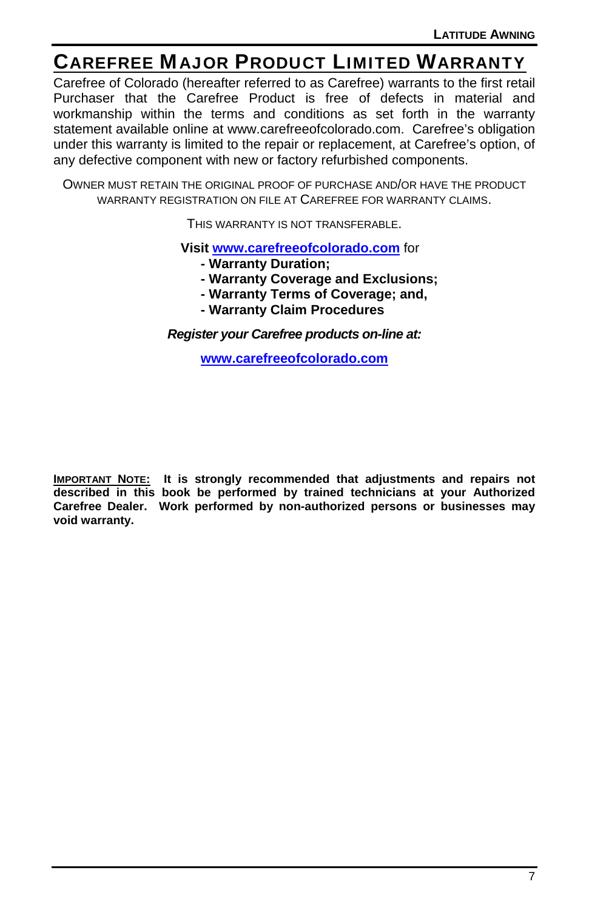# CAREFREE MAJOR PRODUCT LIMITED WARRANTY

Carefree of Colorado (hereafter referred to as Carefree) warrants to the first retail Purchaser that the Carefree Product is free of defects in material and workmanship within the terms and conditions as set forth in the warranty statement available online at www.carefreeofcolorado.com. Carefree's obligation under this warranty is limited to the repair or replacement, at Carefree's option, of any defective component with new or factory refurbished components.

OWNER MUST RETAIN THE ORIGINAL PROOF OF PURCHASE AND/OR HAVE THE PRODUCT WARRANTY REGISTRATION ON FILE AT CAREFREE FOR WARRANTY CLAIMS.

THIS WARRANTY IS NOT TRANSFERABLE.

**Visit www.carefreeofcolorado.com** for

- **Warranty Duration;**
- **Warranty Coverage and Exclusions;**
- **Warranty Terms of Coverage; and,**
- **Warranty Claim Procedures**

*Register your Carefree products on-line at:*

**www.carefreeofcolorado.com**

**IMPORTANT NOTE: It is strongly recommended that adjustments and repairs not described in this book be performed by trained technicians at your Authorized Carefree Dealer. Work performed by non-authorized persons or businesses may void warranty.**